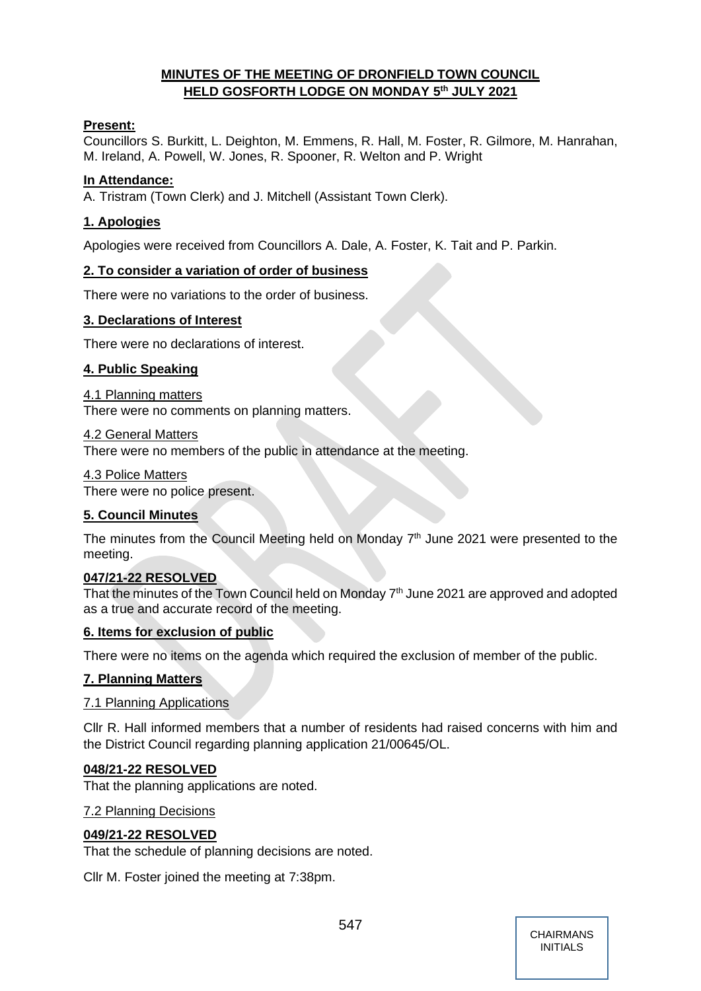# **MINUTES OF THE MEETING OF DRONFIELD TOWN COUNCIL HELD GOSFORTH LODGE ON MONDAY 5 th JULY 2021**

## **Present:**

Councillors S. Burkitt, L. Deighton, M. Emmens, R. Hall, M. Foster, R. Gilmore, M. Hanrahan, M. Ireland, A. Powell, W. Jones, R. Spooner, R. Welton and P. Wright

## **In Attendance:**

A. Tristram (Town Clerk) and J. Mitchell (Assistant Town Clerk).

## **1. Apologies**

Apologies were received from Councillors A. Dale, A. Foster, K. Tait and P. Parkin.

# **2. To consider a variation of order of business**

There were no variations to the order of business.

# **3. Declarations of Interest**

There were no declarations of interest.

## **4. Public Speaking**

4.1 Planning matters There were no comments on planning matters.

### 4.2 General Matters

There were no members of the public in attendance at the meeting.

4.3 Police Matters

There were no police present.

## **5. Council Minutes**

The minutes from the Council Meeting held on Monday  $7<sup>th</sup>$  June 2021 were presented to the meeting.

## **047/21-22 RESOLVED**

That the minutes of the Town Council held on Monday  $7<sup>th</sup>$  June 2021 are approved and adopted as a true and accurate record of the meeting.

## **6. Items for exclusion of public**

There were no items on the agenda which required the exclusion of member of the public.

## **7. Planning Matters**

## 7.1 Planning Applications

Cllr R. Hall informed members that a number of residents had raised concerns with him and the District Council regarding planning application 21/00645/OL.

## **048/21-22 RESOLVED**

That the planning applications are noted.

#### 7.2 Planning Decisions

## **049/21-22 RESOLVED**

That the schedule of planning decisions are noted.

Cllr M. Foster joined the meeting at 7:38pm.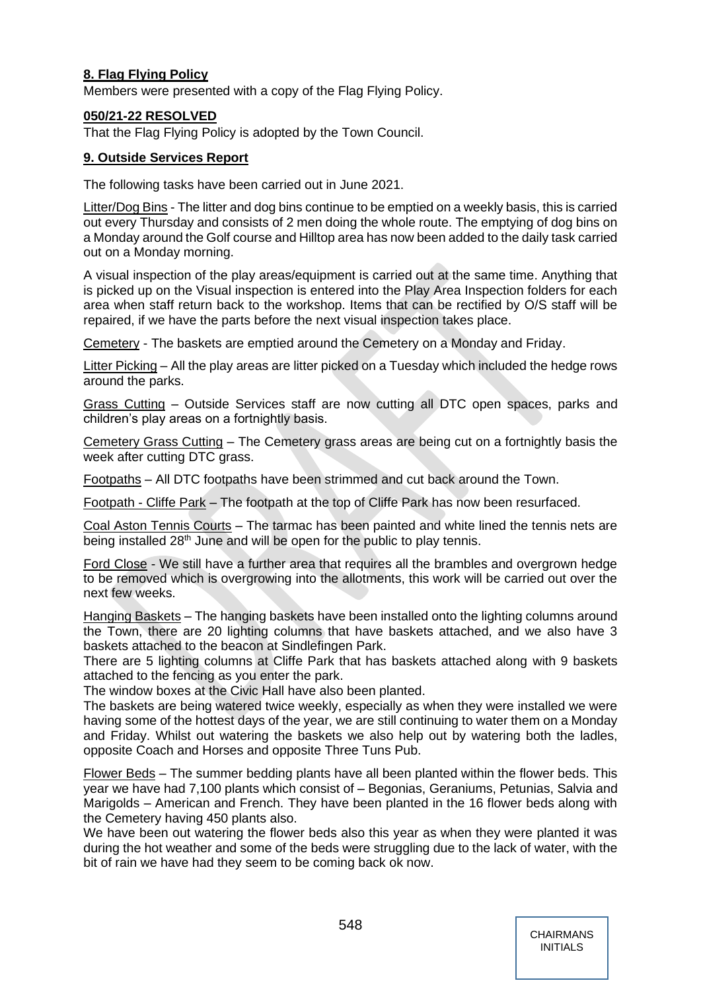# **8. Flag Flying Policy**

Members were presented with a copy of the Flag Flying Policy.

## **050/21-22 RESOLVED**

That the Flag Flying Policy is adopted by the Town Council.

# **9. Outside Services Report**

The following tasks have been carried out in June 2021.

Litter/Dog Bins - The litter and dog bins continue to be emptied on a weekly basis, this is carried out every Thursday and consists of 2 men doing the whole route. The emptying of dog bins on a Monday around the Golf course and Hilltop area has now been added to the daily task carried out on a Monday morning.

A visual inspection of the play areas/equipment is carried out at the same time. Anything that is picked up on the Visual inspection is entered into the Play Area Inspection folders for each area when staff return back to the workshop. Items that can be rectified by O/S staff will be repaired, if we have the parts before the next visual inspection takes place.

Cemetery - The baskets are emptied around the Cemetery on a Monday and Friday.

Litter Picking – All the play areas are litter picked on a Tuesday which included the hedge rows around the parks.

Grass Cutting – Outside Services staff are now cutting all DTC open spaces, parks and children's play areas on a fortnightly basis.

Cemetery Grass Cutting – The Cemetery grass areas are being cut on a fortnightly basis the week after cutting DTC grass.

Footpaths – All DTC footpaths have been strimmed and cut back around the Town.

Footpath - Cliffe Park – The footpath at the top of Cliffe Park has now been resurfaced.

Coal Aston Tennis Courts – The tarmac has been painted and white lined the tennis nets are being installed 28<sup>th</sup> June and will be open for the public to play tennis.

Ford Close - We still have a further area that requires all the brambles and overgrown hedge to be removed which is overgrowing into the allotments, this work will be carried out over the next few weeks.

Hanging Baskets – The hanging baskets have been installed onto the lighting columns around the Town, there are 20 lighting columns that have baskets attached, and we also have 3 baskets attached to the beacon at Sindlefingen Park.

There are 5 lighting columns at Cliffe Park that has baskets attached along with 9 baskets attached to the fencing as you enter the park.

The window boxes at the Civic Hall have also been planted.

The baskets are being watered twice weekly, especially as when they were installed we were having some of the hottest days of the year, we are still continuing to water them on a Monday and Friday. Whilst out watering the baskets we also help out by watering both the ladles, opposite Coach and Horses and opposite Three Tuns Pub.

Flower Beds – The summer bedding plants have all been planted within the flower beds. This year we have had 7,100 plants which consist of – Begonias, Geraniums, Petunias, Salvia and Marigolds – American and French. They have been planted in the 16 flower beds along with the Cemetery having 450 plants also.

We have been out watering the flower beds also this year as when they were planted it was during the hot weather and some of the beds were struggling due to the lack of water, with the bit of rain we have had they seem to be coming back ok now.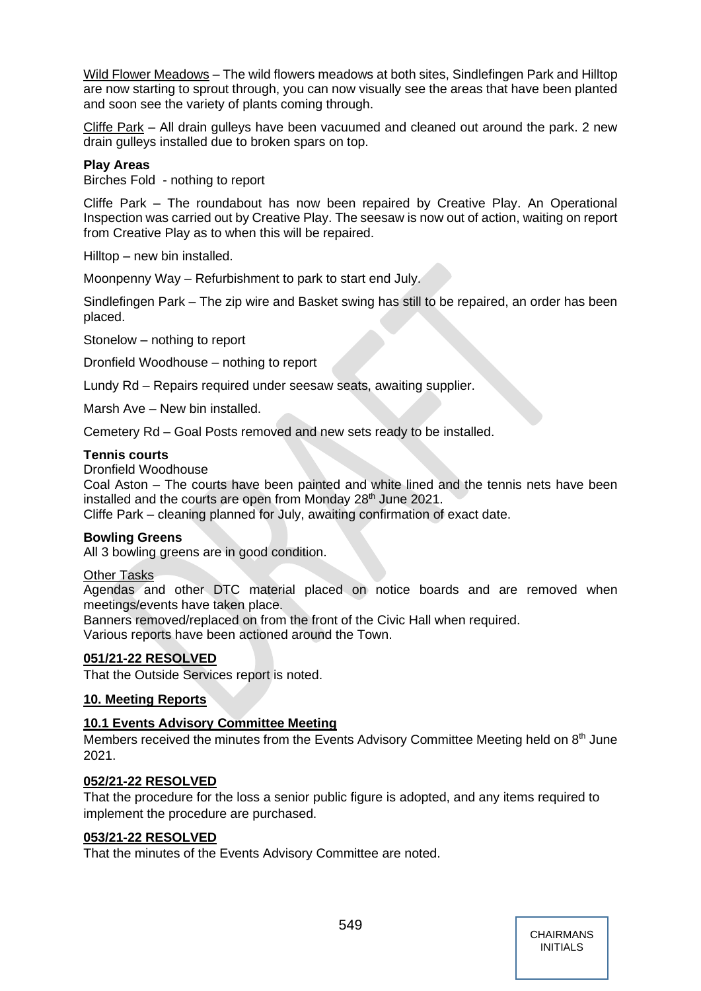Wild Flower Meadows – The wild flowers meadows at both sites, Sindlefingen Park and Hilltop are now starting to sprout through, you can now visually see the areas that have been planted and soon see the variety of plants coming through.

Cliffe Park – All drain gulleys have been vacuumed and cleaned out around the park. 2 new drain gulleys installed due to broken spars on top.

## **Play Areas**

Birches Fold - nothing to report

Cliffe Park – The roundabout has now been repaired by Creative Play. An Operational Inspection was carried out by Creative Play. The seesaw is now out of action, waiting on report from Creative Play as to when this will be repaired.

Hilltop – new bin installed.

Moonpenny Way – Refurbishment to park to start end July.

Sindlefingen Park – The zip wire and Basket swing has still to be repaired, an order has been placed.

Stonelow – nothing to report

Dronfield Woodhouse – nothing to report

Lundy Rd – Repairs required under seesaw seats, awaiting supplier.

Marsh Ave – New bin installed.

Cemetery Rd – Goal Posts removed and new sets ready to be installed.

### **Tennis courts**

Dronfield Woodhouse

Coal Aston – The courts have been painted and white lined and the tennis nets have been installed and the courts are open from Monday 28<sup>th</sup> June 2021.

Cliffe Park – cleaning planned for July, awaiting confirmation of exact date.

## **Bowling Greens**

All 3 bowling greens are in good condition.

#### Other Tasks

Agendas and other DTC material placed on notice boards and are removed when meetings/events have taken place.

Banners removed/replaced on from the front of the Civic Hall when required. Various reports have been actioned around the Town.

## **051/21-22 RESOLVED**

That the Outside Services report is noted.

## **10. Meeting Reports**

## **10.1 Events Advisory Committee Meeting**

Members received the minutes from the Events Advisory Committee Meeting held on 8<sup>th</sup> June 2021.

## **052/21-22 RESOLVED**

That the procedure for the loss a senior public figure is adopted, and any items required to implement the procedure are purchased.

#### **053/21-22 RESOLVED**

That the minutes of the Events Advisory Committee are noted.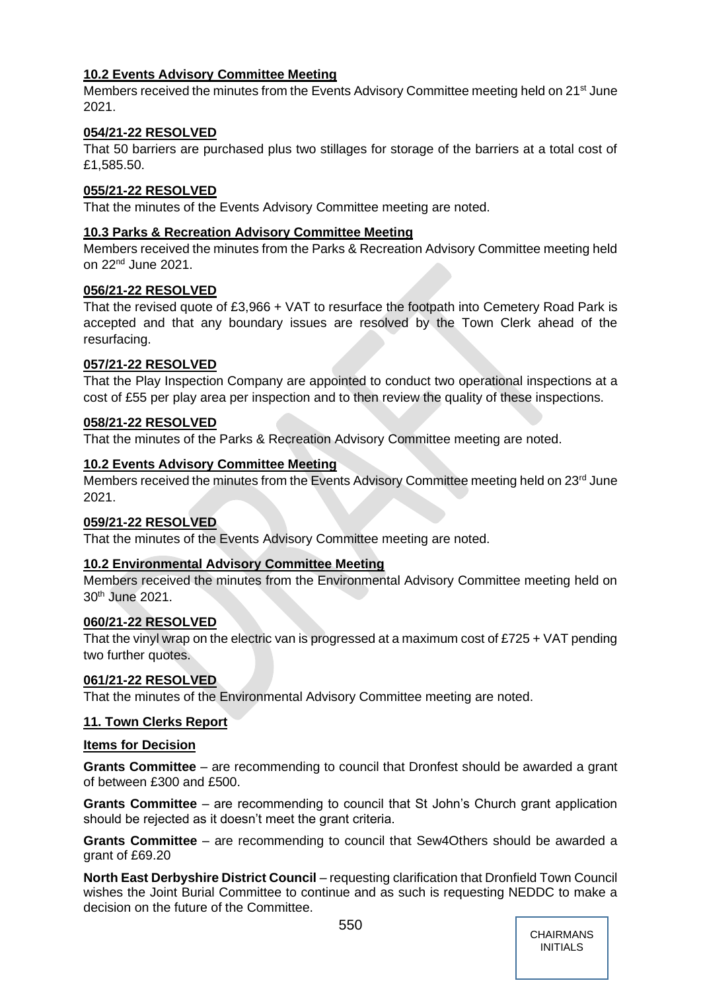# **10.2 Events Advisory Committee Meeting**

Members received the minutes from the Events Advisory Committee meeting held on 21<sup>st</sup> June 2021.

# **054/21-22 RESOLVED**

That 50 barriers are purchased plus two stillages for storage of the barriers at a total cost of £1,585.50.

## **055/21-22 RESOLVED**

That the minutes of the Events Advisory Committee meeting are noted.

# **10.3 Parks & Recreation Advisory Committee Meeting**

Members received the minutes from the Parks & Recreation Advisory Committee meeting held on 22nd June 2021.

## **056/21-22 RESOLVED**

That the revised quote of £3,966 + VAT to resurface the footpath into Cemetery Road Park is accepted and that any boundary issues are resolved by the Town Clerk ahead of the resurfacing.

# **057/21-22 RESOLVED**

That the Play Inspection Company are appointed to conduct two operational inspections at a cost of £55 per play area per inspection and to then review the quality of these inspections.

# **058/21-22 RESOLVED**

That the minutes of the Parks & Recreation Advisory Committee meeting are noted.

# **10.2 Events Advisory Committee Meeting**

Members received the minutes from the Events Advisory Committee meeting held on 23<sup>rd</sup> June 2021.

## **059/21-22 RESOLVED**

That the minutes of the Events Advisory Committee meeting are noted.

## **10.2 Environmental Advisory Committee Meeting**

Members received the minutes from the Environmental Advisory Committee meeting held on 30th June 2021.

## **060/21-22 RESOLVED**

That the vinyl wrap on the electric van is progressed at a maximum cost of £725 + VAT pending two further quotes.

# **061/21-22 RESOLVED**

That the minutes of the Environmental Advisory Committee meeting are noted.

# **11. Town Clerks Report**

## **Items for Decision**

**Grants Committee** – are recommending to council that Dronfest should be awarded a grant of between £300 and £500.

**Grants Committee** – are recommending to council that St John's Church grant application should be rejected as it doesn't meet the grant criteria.

**Grants Committee** – are recommending to council that Sew4Others should be awarded a grant of £69.20

**North East Derbyshire District Council** – requesting clarification that Dronfield Town Council wishes the Joint Burial Committee to continue and as such is requesting NEDDC to make a decision on the future of the Committee.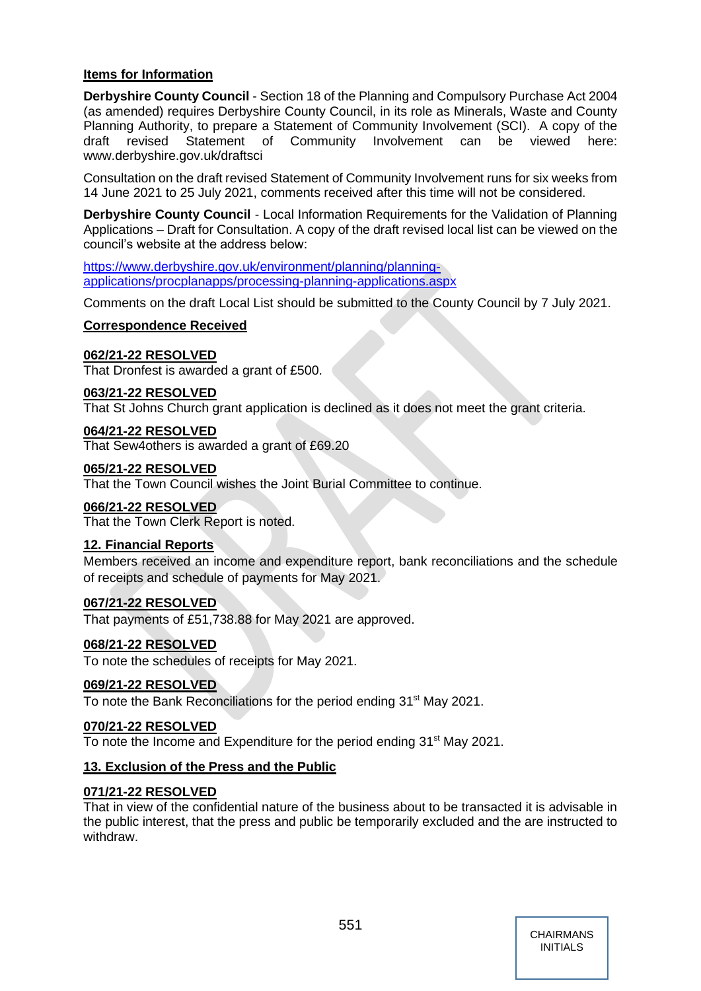# **Items for Information**

**Derbyshire County Council** - Section 18 of the Planning and Compulsory Purchase Act 2004 (as amended) requires Derbyshire County Council, in its role as Minerals, Waste and County Planning Authority, to prepare a Statement of Community Involvement (SCI). A copy of the draft revised Statement of Community Involvement can be viewed here: www.derbyshire.gov.uk/draftsci

Consultation on the draft revised Statement of Community Involvement runs for six weeks from 14 June 2021 to 25 July 2021, comments received after this time will not be considered.

**Derbyshire County Council** - Local Information Requirements for the Validation of Planning Applications – Draft for Consultation. A copy of the draft revised local list can be viewed on the council's website at the address below:

[https://www.derbyshire.gov.uk/environment/planning/planning](https://www.derbyshire.gov.uk/environment/planning/planning-applications/procplanapps/processing-planning-applications.aspx)[applications/procplanapps/processing-planning-applications.aspx](https://www.derbyshire.gov.uk/environment/planning/planning-applications/procplanapps/processing-planning-applications.aspx)

Comments on the draft Local List should be submitted to the County Council by 7 July 2021.

# **Correspondence Received**

# **062/21-22 RESOLVED**

That Dronfest is awarded a grant of £500.

# **063/21-22 RESOLVED**

That St Johns Church grant application is declined as it does not meet the grant criteria.

## **064/21-22 RESOLVED**

That Sew4others is awarded a grant of £69.20

### **065/21-22 RESOLVED**

That the Town Council wishes the Joint Burial Committee to continue.

## **066/21-22 RESOLVED**

That the Town Clerk Report is noted.

## **12. Financial Reports**

Members received an income and expenditure report, bank reconciliations and the schedule of receipts and schedule of payments for May 2021.

# **067/21-22 RESOLVED**

That payments of £51,738.88 for May 2021 are approved.

## **068/21-22 RESOLVED**

To note the schedules of receipts for May 2021.

## **069/21-22 RESOLVED**

To note the Bank Reconciliations for the period ending 31<sup>st</sup> May 2021.

## **070/21-22 RESOLVED**

To note the Income and Expenditure for the period ending 31<sup>st</sup> May 2021.

## **13. Exclusion of the Press and the Public**

## **071/21-22 RESOLVED**

That in view of the confidential nature of the business about to be transacted it is advisable in the public interest, that the press and public be temporarily excluded and the are instructed to withdraw.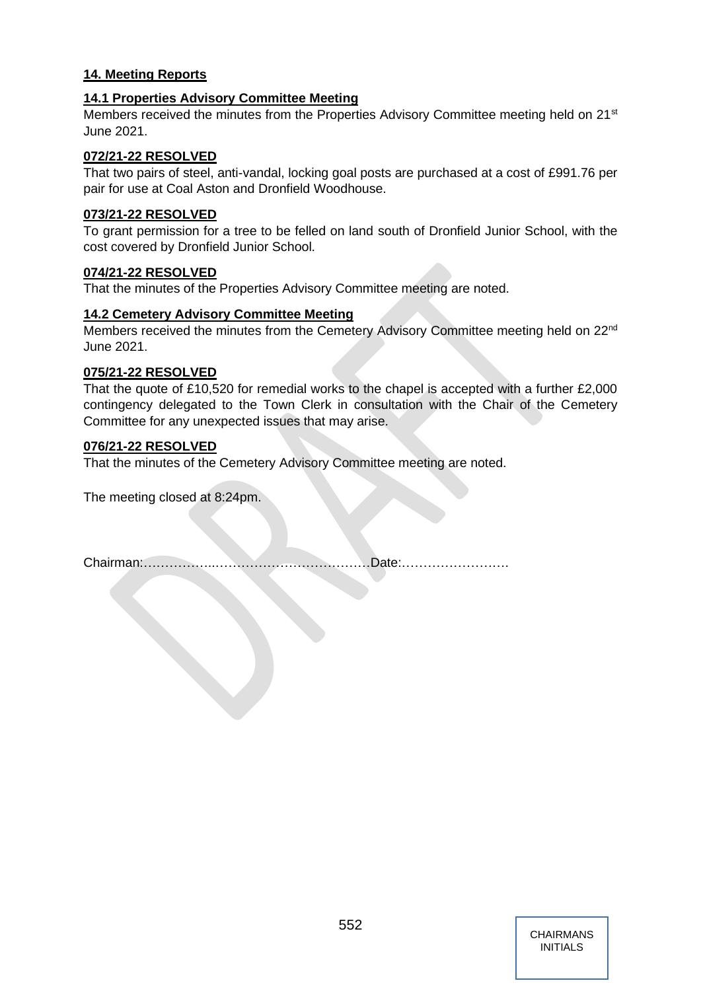# **14. Meeting Reports**

## **14.1 Properties Advisory Committee Meeting**

Members received the minutes from the Properties Advisory Committee meeting held on 21<sup>st</sup> June 2021.

### **072/21-22 RESOLVED**

That two pairs of steel, anti-vandal, locking goal posts are purchased at a cost of £991.76 per pair for use at Coal Aston and Dronfield Woodhouse.

### **073/21-22 RESOLVED**

To grant permission for a tree to be felled on land south of Dronfield Junior School, with the cost covered by Dronfield Junior School.

### **074/21-22 RESOLVED**

That the minutes of the Properties Advisory Committee meeting are noted.

### **14.2 Cemetery Advisory Committee Meeting**

Members received the minutes from the Cemetery Advisory Committee meeting held on 22<sup>nd</sup> June 2021.

### **075/21-22 RESOLVED**

That the quote of £10,520 for remedial works to the chapel is accepted with a further £2,000 contingency delegated to the Town Clerk in consultation with the Chair of the Cemetery Committee for any unexpected issues that may arise.

### **076/21-22 RESOLVED**

That the minutes of the Cemetery Advisory Committee meeting are noted.

The meeting closed at 8:24pm.

|--|--|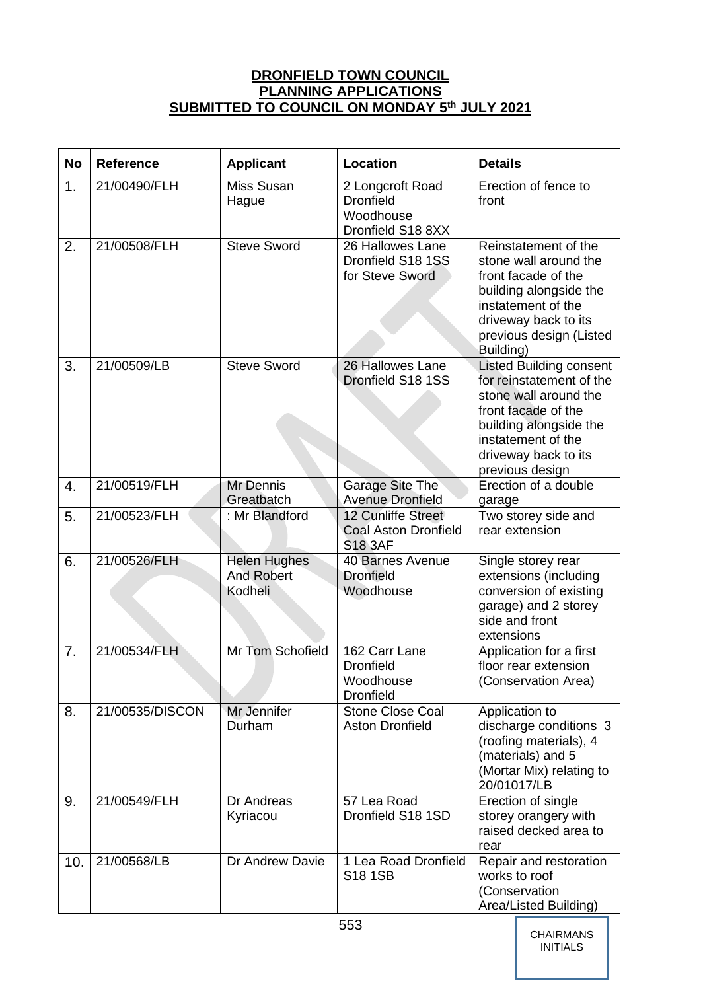# **DRONFIELD TOWN COUNCIL PLANNING APPLICATIONS SUBMITTED TO COUNCIL ON MONDAY 5 th JULY 2021**

| <b>No</b> | <b>Reference</b> | <b>Applicant</b>                                    | Location                                                               | <b>Details</b>                                                                                                                                                                                        |
|-----------|------------------|-----------------------------------------------------|------------------------------------------------------------------------|-------------------------------------------------------------------------------------------------------------------------------------------------------------------------------------------------------|
| 1.        | 21/00490/FLH     | Miss Susan<br>Hague                                 | 2 Longcroft Road<br><b>Dronfield</b><br>Woodhouse<br>Dronfield S18 8XX | Erection of fence to<br>front                                                                                                                                                                         |
| 2.        | 21/00508/FLH     | <b>Steve Sword</b>                                  | 26 Hallowes Lane<br>Dronfield S18 1SS<br>for Steve Sword               | Reinstatement of the<br>stone wall around the<br>front facade of the<br>building alongside the<br>instatement of the<br>driveway back to its<br>previous design (Listed<br>Building)                  |
| 3.        | 21/00509/LB      | <b>Steve Sword</b>                                  | 26 Hallowes Lane<br>Dronfield S18 1SS                                  | <b>Listed Building consent</b><br>for reinstatement of the<br>stone wall around the<br>front facade of the<br>building alongside the<br>instatement of the<br>driveway back to its<br>previous design |
| 4.        | 21/00519/FLH     | Mr Dennis<br>Greatbatch                             | Garage Site The<br><b>Avenue Dronfield</b>                             | Erection of a double<br>garage                                                                                                                                                                        |
| 5.        | 21/00523/FLH     | : Mr Blandford                                      | 12 Cunliffe Street<br><b>Coal Aston Dronfield</b><br><b>S18 3AF</b>    | Two storey side and<br>rear extension                                                                                                                                                                 |
| 6.        | 21/00526/FLH     | <b>Helen Hughes</b><br><b>And Robert</b><br>Kodheli | 40 Barnes Avenue<br><b>Dronfield</b><br>Woodhouse                      | Single storey rear<br>extensions (including<br>conversion of existing<br>garage) and 2 storey<br>side and front<br>extensions                                                                         |
| 7.        | 21/00534/FLH     | Mr Tom Schofield                                    | 162 Carr Lane<br><b>Dronfield</b><br>Woodhouse<br><b>Dronfield</b>     | Application for a first<br>floor rear extension<br>(Conservation Area)                                                                                                                                |
| 8.        | 21/00535/DISCON  | Mr Jennifer<br>Durham                               | <b>Stone Close Coal</b><br><b>Aston Dronfield</b>                      | Application to<br>discharge conditions 3<br>(roofing materials), 4<br>(materials) and 5<br>(Mortar Mix) relating to<br>20/01017/LB                                                                    |
| 9.        | 21/00549/FLH     | Dr Andreas<br>Kyriacou                              | 57 Lea Road<br>Dronfield S18 1SD                                       | Erection of single<br>storey orangery with<br>raised decked area to<br>rear                                                                                                                           |
| 10.       | 21/00568/LB      | Dr Andrew Davie                                     | 1 Lea Road Dronfield<br><b>S18 1SB</b>                                 | Repair and restoration<br>works to roof<br>(Conservation<br>Area/Listed Building)                                                                                                                     |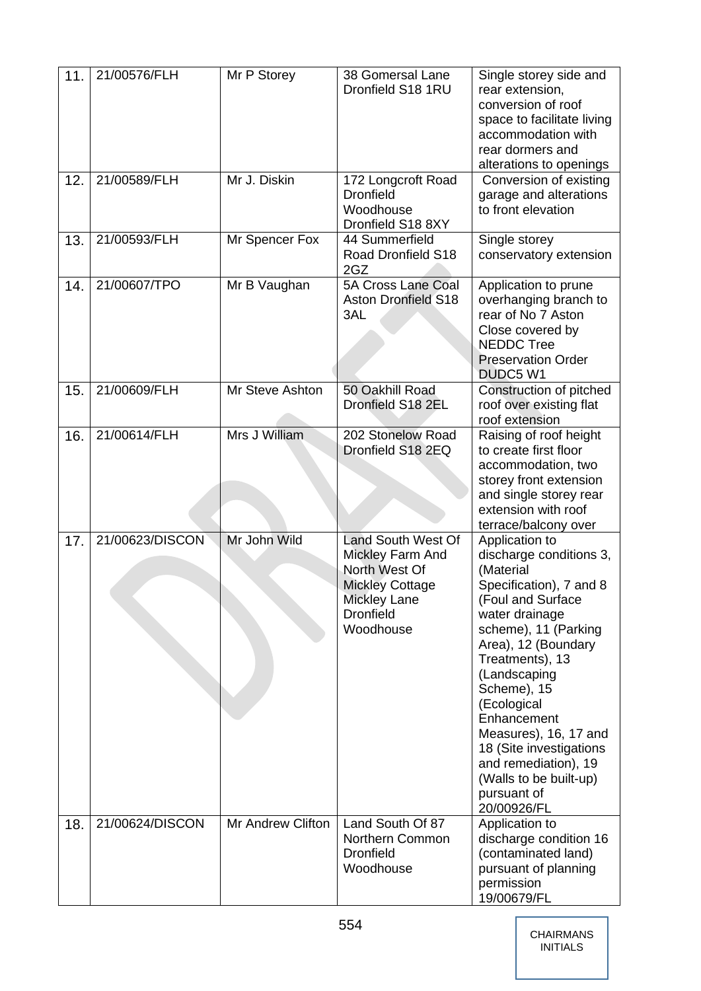| 11. | 21/00576/FLH    | Mr P Storey       | 38 Gomersal Lane<br>Dronfield S18 1RU                                                                                                            | Single storey side and<br>rear extension,<br>conversion of roof<br>space to facilitate living<br>accommodation with<br>rear dormers and<br>alterations to openings                                                                                                                                                                                                                          |
|-----|-----------------|-------------------|--------------------------------------------------------------------------------------------------------------------------------------------------|---------------------------------------------------------------------------------------------------------------------------------------------------------------------------------------------------------------------------------------------------------------------------------------------------------------------------------------------------------------------------------------------|
| 12. | 21/00589/FLH    | Mr J. Diskin      | 172 Longcroft Road<br><b>Dronfield</b><br>Woodhouse<br>Dronfield S18 8XY                                                                         | Conversion of existing<br>garage and alterations<br>to front elevation                                                                                                                                                                                                                                                                                                                      |
| 13. | 21/00593/FLH    | Mr Spencer Fox    | 44 Summerfield<br>Road Dronfield S18<br>2GZ                                                                                                      | Single storey<br>conservatory extension                                                                                                                                                                                                                                                                                                                                                     |
| 14. | 21/00607/TPO    | Mr B Vaughan      | <b>5A Cross Lane Coal</b><br><b>Aston Dronfield S18</b><br>3AL                                                                                   | Application to prune<br>overhanging branch to<br>rear of No 7 Aston<br>Close covered by<br><b>NEDDC Tree</b><br><b>Preservation Order</b><br>DUDC5 W1                                                                                                                                                                                                                                       |
| 15. | 21/00609/FLH    | Mr Steve Ashton   | 50 Oakhill Road<br>Dronfield S18 2EL                                                                                                             | Construction of pitched<br>roof over existing flat<br>roof extension                                                                                                                                                                                                                                                                                                                        |
| 16. | 21/00614/FLH    | Mrs J William     | 202 Stonelow Road<br>Dronfield S18 2EQ                                                                                                           | Raising of roof height<br>to create first floor<br>accommodation, two<br>storey front extension<br>and single storey rear<br>extension with roof<br>terrace/balcony over                                                                                                                                                                                                                    |
| 17. | 21/00623/DISCON | Mr John Wild      | <b>Land South West Of</b><br>Mickley Farm And<br>North West Of<br><b>Mickley Cottage</b><br><b>Mickley Lane</b><br><b>Dronfield</b><br>Woodhouse | Application to<br>discharge conditions 3,<br>(Material<br>Specification), 7 and 8<br>(Foul and Surface<br>water drainage<br>scheme), 11 (Parking<br>Area), 12 (Boundary<br>Treatments), 13<br>(Landscaping<br>Scheme), 15<br>(Ecological<br>Enhancement<br>Measures), 16, 17 and<br>18 (Site investigations<br>and remediation), 19<br>(Walls to be built-up)<br>pursuant of<br>20/00926/FL |
| 18. | 21/00624/DISCON | Mr Andrew Clifton | Land South Of 87<br>Northern Common<br><b>Dronfield</b><br>Woodhouse                                                                             | Application to<br>discharge condition 16<br>(contaminated land)<br>pursuant of planning<br>permission<br>19/00679/FL                                                                                                                                                                                                                                                                        |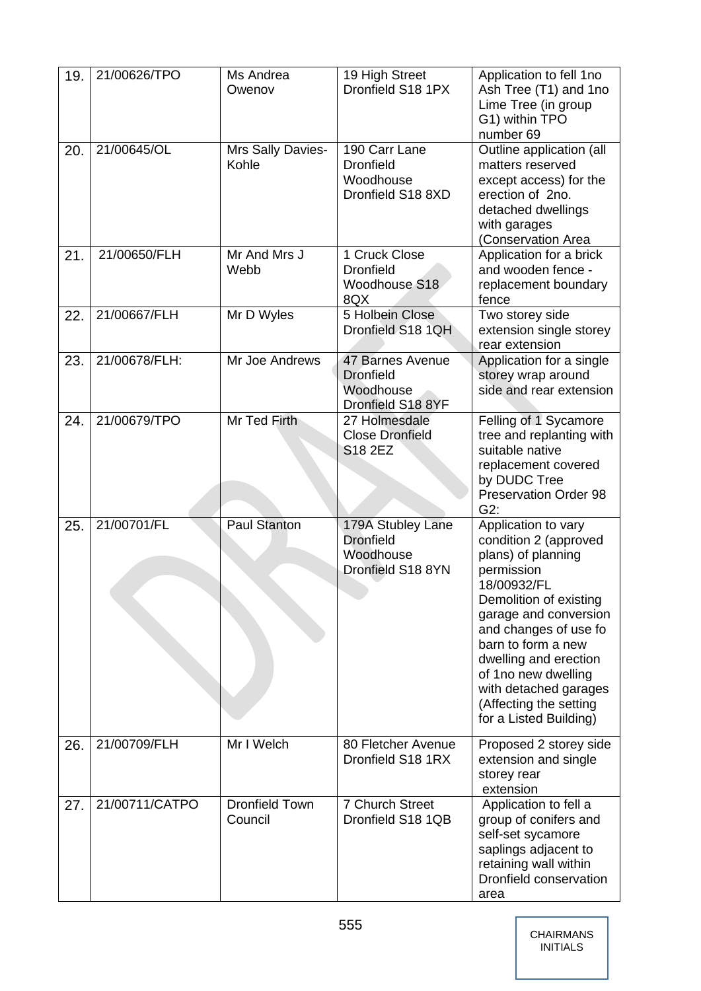| 19. | 21/00626/TPO   | Ms Andrea<br>Owenov              | 19 High Street<br>Dronfield S18 1PX                                     | Application to fell 1no<br>Ash Tree (T1) and 1no<br>Lime Tree (in group<br>G1) within TPO<br>number 69                                                                                                                                                                                                                         |  |
|-----|----------------|----------------------------------|-------------------------------------------------------------------------|--------------------------------------------------------------------------------------------------------------------------------------------------------------------------------------------------------------------------------------------------------------------------------------------------------------------------------|--|
| 20. | 21/00645/OL    | Mrs Sally Davies-<br>Kohle       | 190 Carr Lane<br><b>Dronfield</b><br>Woodhouse<br>Dronfield S18 8XD     | Outline application (all<br>matters reserved<br>except access) for the<br>erection of 2no.<br>detached dwellings<br>with garages<br>(Conservation Area                                                                                                                                                                         |  |
| 21. | 21/00650/FLH   | Mr And Mrs J<br>Webb             | 1 Cruck Close<br><b>Dronfield</b><br>Woodhouse S18<br>8QX               | Application for a brick<br>and wooden fence -<br>replacement boundary<br>fence                                                                                                                                                                                                                                                 |  |
| 22. | 21/00667/FLH   | Mr D Wyles                       | 5 Holbein Close<br>Dronfield S18 1QH                                    | Two storey side<br>extension single storey<br>rear extension                                                                                                                                                                                                                                                                   |  |
| 23. | 21/00678/FLH:  | Mr Joe Andrews                   | 47 Barnes Avenue<br><b>Dronfield</b><br>Woodhouse<br>Dronfield S18 8YF  | Application for a single<br>storey wrap around<br>side and rear extension                                                                                                                                                                                                                                                      |  |
| 24. | 21/00679/TPO   | Mr Ted Firth                     | 27 Holmesdale<br><b>Close Dronfield</b><br>S18 2EZ                      | Felling of 1 Sycamore<br>tree and replanting with<br>suitable native<br>replacement covered<br>by DUDC Tree<br><b>Preservation Order 98</b><br>G2:                                                                                                                                                                             |  |
| 25. | 21/00701/FL    | Paul Stanton                     | 179A Stubley Lane<br><b>Dronfield</b><br>Woodhouse<br>Dronfield S18 8YN | Application to vary<br>condition 2 (approved<br>plans) of planning<br>permission<br>18/00932/FL<br>Demolition of existing<br>garage and conversion<br>and changes of use fo<br>barn to form a new<br>dwelling and erection<br>of 1no new dwelling<br>with detached garages<br>(Affecting the setting<br>for a Listed Building) |  |
| 26. | 21/00709/FLH   | Mr I Welch                       | 80 Fletcher Avenue<br>Dronfield S18 1RX                                 | Proposed 2 storey side<br>extension and single<br>storey rear<br>extension                                                                                                                                                                                                                                                     |  |
| 27. | 21/00711/CATPO | <b>Dronfield Town</b><br>Council | 7 Church Street<br>Dronfield S18 1QB                                    | Application to fell a<br>group of conifers and<br>self-set sycamore<br>saplings adjacent to<br>retaining wall within<br>Dronfield conservation<br>area                                                                                                                                                                         |  |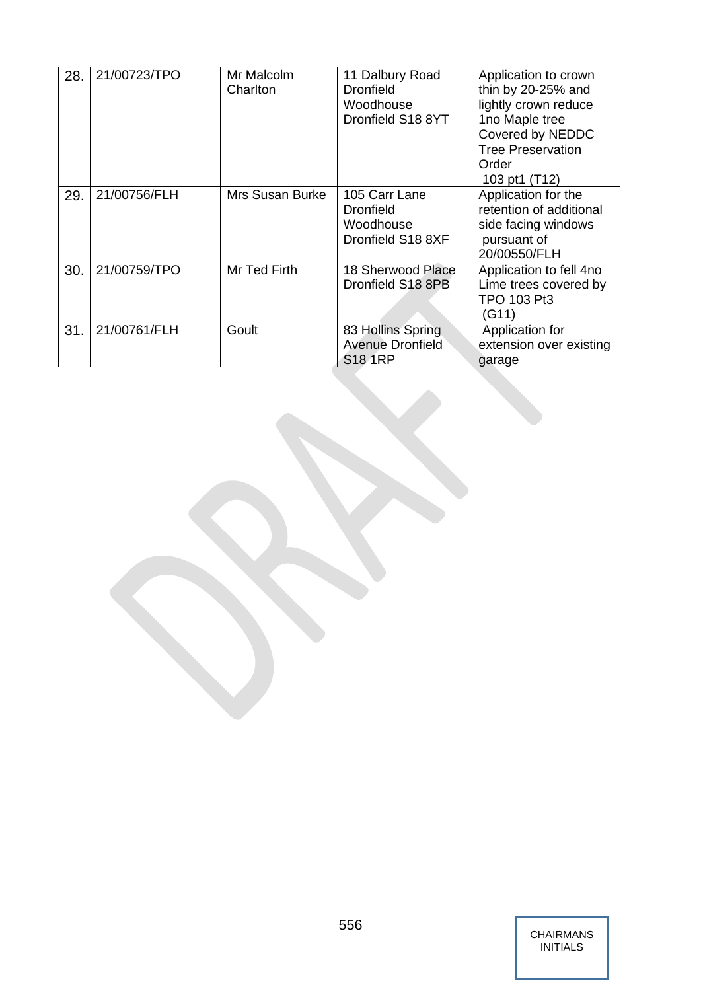| 28. | 21/00723/TPO | Mr Malcolm<br>Charlton | 11 Dalbury Road<br><b>Dronfield</b><br>Woodhouse<br>Dronfield S18 8YT | Application to crown<br>thin by 20-25% and<br>lightly crown reduce<br>1no Maple tree<br>Covered by NEDDC<br><b>Tree Preservation</b><br>Order<br>103 pt1 (T12) |  |
|-----|--------------|------------------------|-----------------------------------------------------------------------|----------------------------------------------------------------------------------------------------------------------------------------------------------------|--|
| 29. | 21/00756/FLH | <b>Mrs Susan Burke</b> | 105 Carr Lane<br><b>Dronfield</b><br>Woodhouse<br>Dronfield S18 8XF   | Application for the<br>retention of additional<br>side facing windows<br>pursuant of<br>20/00550/FLH                                                           |  |
| 30. | 21/00759/TPO | Mr Ted Firth           | 18 Sherwood Place<br>Dronfield S18 8PB                                | Application to fell 4no<br>Lime trees covered by<br>TPO 103 Pt3<br>(G11)                                                                                       |  |
| 31. | 21/00761/FLH | Goult                  | 83 Hollins Spring<br><b>Avenue Dronfield</b><br><b>S18 1RP</b>        | Application for<br>extension over existing<br>garage                                                                                                           |  |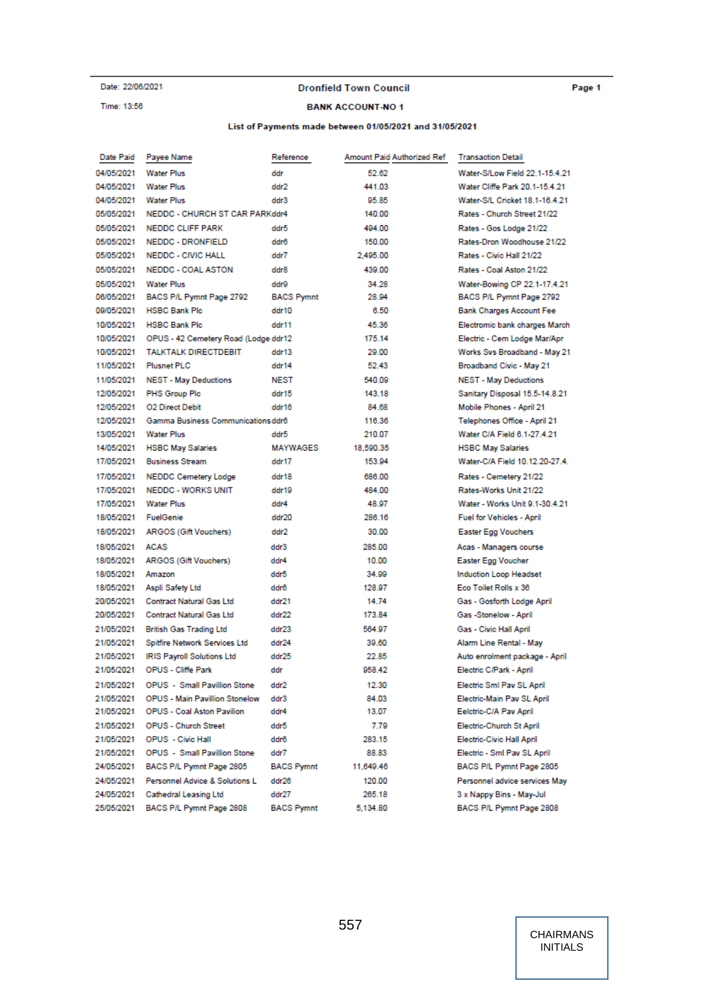Date: 22/06/2021

#### Time: 13:56

#### **Dronfield Town Council**

#### **BANK ACCOUNT-NO1**

#### List of Payments made between 01/05/2021 and 31/05/2021

| Date Paid  | Payee Name                            | Reference         | Amount Paid Authorized Ref | <b>Transaction Detail</b>        |
|------------|---------------------------------------|-------------------|----------------------------|----------------------------------|
| 04/05/2021 | <b>Water Plus</b>                     | ddr               | 52.62                      | Water-S/Low Field 22.1-15.4.21   |
| 04/05/2021 | <b>Water Plus</b>                     | ddr2              | 441.03                     | Water Cliffe Park 20.1-15.4.21   |
| 04/05/2021 | <b>Water Plus</b>                     | ddr3              | 95.85                      | Water-S/L Cricket 18.1-16.4.21   |
| 05/05/2021 | NEDDC - CHURCH ST CAR PARKddr4        |                   | 140.00                     | Rates - Church Street 21/22      |
| 05/05/2021 | <b>NEDDC CLIFF PARK</b>               | ddr5              | 494.00                     | Rates - Gos Lodge 21/22          |
| 05/05/2021 | NEDDC - DRONFIELD                     | ddr6              | 150.00                     | Rates-Dron Woodhouse 21/22       |
| 05/05/2021 | <b>NEDDC - CIVIC HALL</b>             | ddr7              | 2,495.00                   | Rates - Civic Hall 21/22         |
| 05/05/2021 | <b>NEDDC - COAL ASTON</b>             | ddr8              | 439.00                     | Rates - Coal Aston 21/22         |
| 05/05/2021 | <b>Water Plus</b>                     | ddr9              | 34.28                      | Water-Bowing CP 22.1-17.4.21     |
| 06/05/2021 | BACS P/L Pymnt Page 2792              | <b>BACS Pymnt</b> | 28.94                      | BACS P/L Pymnt Page 2792         |
| 09/05/2021 | <b>HSBC Bank Plc</b>                  | ddr10             | 6.50                       | <b>Bank Charges Account Fee</b>  |
| 10/05/2021 | <b>HSBC Bank Plc</b>                  | ddr11             | 45.36                      | Electromic bank charges March    |
| 10/05/2021 | OPUS - 42 Cemetery Road (Lodge ddr12  |                   | 175.14                     | Electric - Cem Lodge Mar/Apr     |
| 10/05/2021 | <b>TALKTALK DIRECTDEBIT</b>           | ddr13             | 29.00                      | Works Svs Broadband - May 21     |
| 11/05/2021 | <b>Plusnet PLC</b>                    | ddr14             | 52.43                      | Broadband Civic - May 21         |
| 11/05/2021 | <b>NEST - May Deductions</b>          | <b>NEST</b>       | 540.09                     | <b>NEST - May Deductions</b>     |
| 12/05/2021 | <b>PHS Group Plc</b>                  | ddr15             | 143.18                     | Sanitary Disposal 15.5-14.8.21   |
| 12/05/2021 | 02 Direct Debit                       | ddr16             | 84.68                      | Mobile Phones - April 21         |
| 12/05/2021 | Gamma Business Communications ddr6    |                   | 116.36                     | Telephones Office - April 21     |
| 13/05/2021 | <b>Water Plus</b>                     | ddr5              | 210.07                     | Water C/A Field 6.1-27.4.21      |
| 14/05/2021 | <b>HSBC May Salaries</b>              | <b>MAYWAGES</b>   | 18,590.35                  | <b>HSBC May Salaries</b>         |
| 17/05/2021 | <b>Business Stream</b>                | ddr17             | 153.94                     | Water-C/A Field 10.12.20-27.4.   |
| 17/05/2021 | <b>NEDDC Cemetery Lodge</b>           | ddr18             | 686.00                     | Rates - Cemetery 21/22           |
| 17/05/2021 | <b>NEDDC - WORKS UNIT</b>             | ddr19             | 484.00                     | Rates-Works Unit 21/22           |
| 17/05/2021 | <b>Water Plus</b>                     | ddr4              | 48.97                      | Water - Works Unit 9.1-30.4.21   |
| 18/05/2021 | FuelGenie                             | ddr20             | 286.16                     | <b>Fuel for Vehicles - April</b> |
| 18/05/2021 | ARGOS (Gift Vouchers)                 | ddr2              | 30.00                      | Easter Egg Vouchers              |
| 18/05/2021 | <b>ACAS</b>                           | ddr3              | 285.00                     | Acas - Managers course           |
| 18/05/2021 | ARGOS (Gift Vouchers)                 | ddr4              | 10.00                      | Easter Egg Voucher               |
| 18/05/2021 | Amazon                                | ddr5              | 34.99                      | <b>Induction Loop Headset</b>    |
| 18/05/2021 | Aspli Safety Ltd                      | ddr6              | 128.97                     | Eco Toilet Rolls x 36            |
| 20/05/2021 | <b>Contract Natural Gas Ltd</b>       | ddr21             | 14.74                      | Gas - Gosforth Lodge April       |
| 20/05/2021 | <b>Contract Natural Gas Ltd</b>       | ddr22             | 173.84                     | Gas -Stonelow - April            |
| 21/05/2021 | <b>British Gas Trading Ltd</b>        | ddr23             | 564.97                     | Gas - Civic Hall April           |
| 21/05/2021 | Spitfire Network Services Ltd         | ddr24             | 39.60                      | Alarm Line Rental - May          |
| 21/05/2021 | <b>IRIS Payroll Solutions Ltd</b>     | ddr25             | 22.85                      | Auto enrolment package - April   |
| 21/05/2021 | <b>OPUS - Cliffe Park</b>             | ddr               | 958.42                     | Electric C/Park - April          |
| 21/05/2021 | <b>OPUS - Small Pavillion Stone</b>   | ddr2              | 12.30                      | Electric Sml Pav SL April        |
| 21/05/2021 | <b>OPUS - Main Pavillion Stonelow</b> | ddr3              | 84.03                      | Electric-Main Pav SL April       |
| 21/05/2021 | <b>OPUS - Coal Aston Pavilion</b>     | ddr4              | 13.07                      | Eelctric-C/A Pav April           |
| 21/05/2021 | <b>OPUS - Church Street</b>           | ddr5              | 7.79                       | Electric-Church St April         |
| 21/05/2021 | <b>OPUS</b> - Civic Hall              | ddr6              | 283.15                     | Electric-Civic Hall April        |
| 21/05/2021 | <b>OPUS - Small Pavillion Stone</b>   | ddr7              | 88.83                      | Electric - Sml Pav SL April      |
| 24/05/2021 | BACS P/L Pymnt Page 2805              | <b>BACS Pymnt</b> | 11,649.46                  | BACS P/L Pymnt Page 2805         |
| 24/05/2021 | Personnel Advice & Solutions L        | ddr26             | 120.00                     | Personnel advice services May    |
| 24/05/2021 | <b>Cathedral Leasing Ltd</b>          | ddr27             | 265.18                     | 3 x Nappy Bins - May-Jul         |
| 25/05/2021 | BACS P/L Pymnt Page 2808              | <b>BACS Pymnt</b> | 5.134.80                   | BACS P/L Pymnt Page 2808         |
|            |                                       |                   |                            |                                  |

Page 1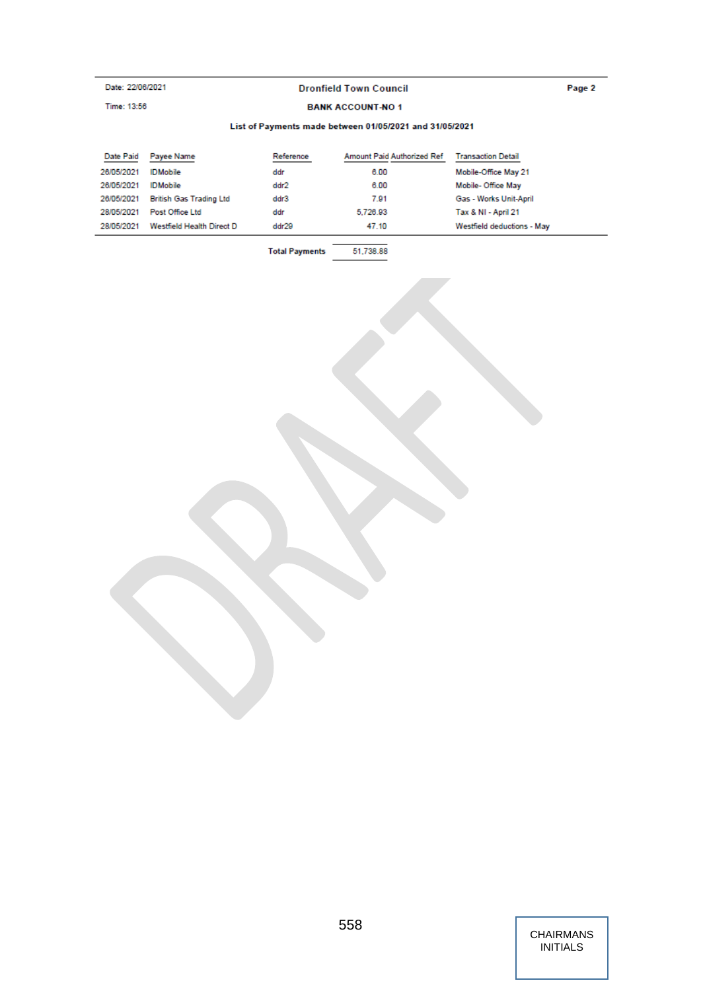# Date: 22/06/2021

Time: 13:56

## **Dronfield Town Council**

#### Page 2

#### **BANK ACCOUNT-NO1**

#### List of Payments made between 01/05/2021 and 31/05/2021

| Date Paid  | Payee Name                | Reference | Amount Paid Authorized Ref | <b>Transaction Detail</b>  |
|------------|---------------------------|-----------|----------------------------|----------------------------|
| 26/05/2021 | <b>IDMobile</b>           | ddr       | 6.00                       | Mobile-Office May 21       |
| 26/05/2021 | <b>IDMobile</b>           | ddr2      | 6.00                       | Mobile-Office May          |
| 26/05/2021 | British Gas Trading Ltd   | ddr3      | 7.91                       | Gas - Works Unit-April     |
| 28/05/2021 | Post Office Ltd           | ddr       | 5,726.93                   | Tax & NI - April 21        |
| 28/05/2021 | Westfield Health Direct D | ddr29     | 47.10                      | Westfield deductions - May |
|            |                           |           |                            |                            |

**Total Payments** 51,738.88

> CHAIRMANS INITIALS